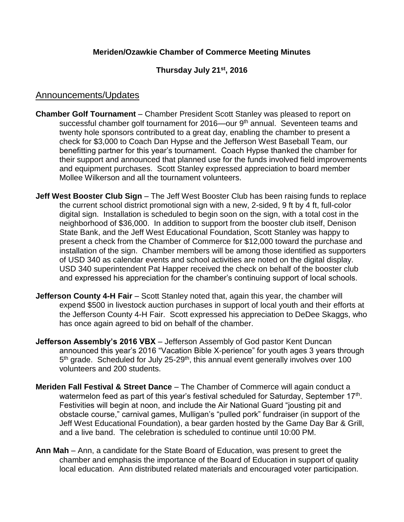## **Meriden/Ozawkie Chamber of Commerce Meeting Minutes**

## **Thursday July 21st, 2016**

## Announcements/Updates

- **Chamber Golf Tournament** Chamber President Scott Stanley was pleased to report on successful chamber golf tournament for 2016—our 9<sup>th</sup> annual. Seventeen teams and twenty hole sponsors contributed to a great day, enabling the chamber to present a check for \$3,000 to Coach Dan Hypse and the Jefferson West Baseball Team, our benefitting partner for this year's tournament. Coach Hypse thanked the chamber for their support and announced that planned use for the funds involved field improvements and equipment purchases. Scott Stanley expressed appreciation to board member Mollee Wilkerson and all the tournament volunteers.
- **Jeff West Booster Club Sign** The Jeff West Booster Club has been raising funds to replace the current school district promotional sign with a new, 2-sided, 9 ft by 4 ft, full-color digital sign. Installation is scheduled to begin soon on the sign, with a total cost in the neighborhood of \$36,000. In addition to support from the booster club itself, Denison State Bank, and the Jeff West Educational Foundation, Scott Stanley was happy to present a check from the Chamber of Commerce for \$12,000 toward the purchase and installation of the sign. Chamber members will be among those identified as supporters of USD 340 as calendar events and school activities are noted on the digital display. USD 340 superintendent Pat Happer received the check on behalf of the booster club and expressed his appreciation for the chamber's continuing support of local schools.
- **Jefferson County 4-H Fair** Scott Stanley noted that, again this year, the chamber will expend \$500 in livestock auction purchases in support of local youth and their efforts at the Jefferson County 4-H Fair. Scott expressed his appreciation to DeDee Skaggs, who has once again agreed to bid on behalf of the chamber.
- **Jefferson Assembly's 2016 VBX**  Jefferson Assembly of God pastor Kent Duncan announced this year's 2016 "Vacation Bible X-perience" for youth ages 3 years through 5<sup>th</sup> grade. Scheduled for July 25-29<sup>th</sup>, this annual event generally involves over 100 volunteers and 200 students.
- **Meriden Fall Festival & Street Dance**  The Chamber of Commerce will again conduct a watermelon feed as part of this year's festival scheduled for Saturday, September 17<sup>th</sup>. Festivities will begin at noon, and include the Air National Guard "jousting pit and obstacle course," carnival games, Mulligan's "pulled pork" fundraiser (in support of the Jeff West Educational Foundation), a bear garden hosted by the Game Day Bar & Grill, and a live band. The celebration is scheduled to continue until 10:00 PM.
- **Ann Mah**  Ann, a candidate for the State Board of Education, was present to greet the chamber and emphasis the importance of the Board of Education in support of quality local education. Ann distributed related materials and encouraged voter participation.